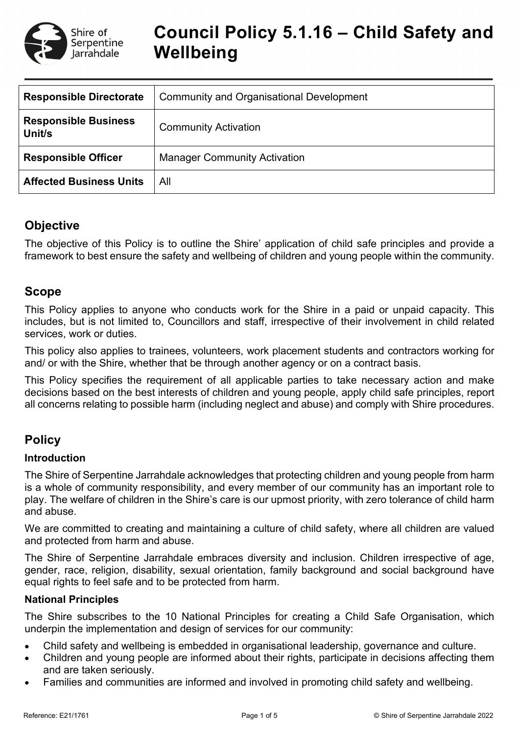

# **Council Policy 5.1.16 – Child Safety and Wellbeing**

| <b>Responsible Directorate</b>        | <b>Community and Organisational Development</b> |
|---------------------------------------|-------------------------------------------------|
| <b>Responsible Business</b><br>Unit/s | <b>Community Activation</b>                     |
| <b>Responsible Officer</b>            | <b>Manager Community Activation</b>             |
| <b>Affected Business Units</b>        | All                                             |

# **Objective**

The objective of this Policy is to outline the Shire' application of child safe principles and provide a framework to best ensure the safety and wellbeing of children and young people within the community.

# **Scope**

This Policy applies to anyone who conducts work for the Shire in a paid or unpaid capacity. This includes, but is not limited to, Councillors and staff, irrespective of their involvement in child related services, work or duties.

This policy also applies to trainees, volunteers, work placement students and contractors working for and/ or with the Shire, whether that be through another agency or on a contract basis.

This Policy specifies the requirement of all applicable parties to take necessary action and make decisions based on the best interests of children and young people, apply child safe principles, report all concerns relating to possible harm (including neglect and abuse) and comply with Shire procedures.

# **Policy**

### **Introduction**

The Shire of Serpentine Jarrahdale acknowledges that protecting children and young people from harm is a whole of community responsibility, and every member of our community has an important role to play. The welfare of children in the Shire's care is our upmost priority, with zero tolerance of child harm and abuse.

We are committed to creating and maintaining a culture of child safety, where all children are valued and protected from harm and abuse.

The Shire of Serpentine Jarrahdale embraces diversity and inclusion. Children irrespective of age, gender, race, religion, disability, sexual orientation, family background and social background have equal rights to feel safe and to be protected from harm.

### **National Principles**

The Shire subscribes to the 10 National Principles for creating a Child Safe Organisation, which underpin the implementation and design of services for our community:

- Child safety and wellbeing is embedded in organisational leadership, governance and culture.
- Children and young people are informed about their rights, participate in decisions affecting them and are taken seriously.
- Families and communities are informed and involved in promoting child safety and wellbeing.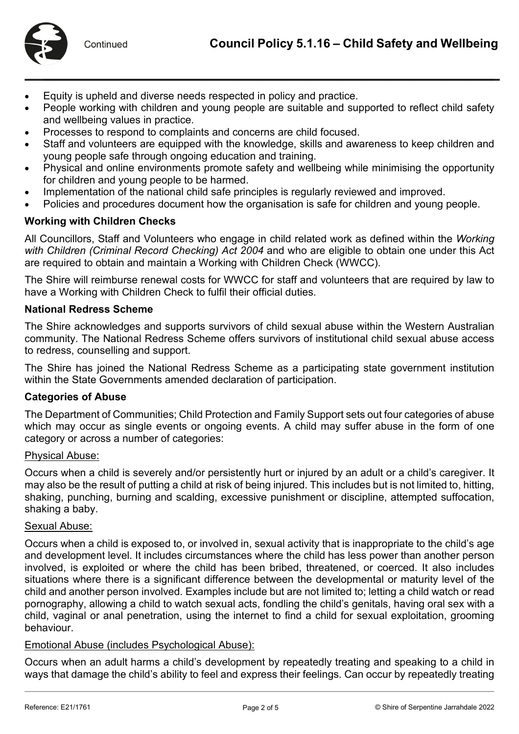

- Equity is upheld and diverse needs respected in policy and practice.
- People working with children and young people are suitable and supported to reflect child safety and wellbeing values in practice.
- Processes to respond to complaints and concerns are child focused.
- Staff and volunteers are equipped with the knowledge, skills and awareness to keep children and young people safe through ongoing education and training.
- Physical and online environments promote safety and wellbeing while minimising the opportunity for children and young people to be harmed.
- Implementation of the national child safe principles is regularly reviewed and improved.
- Policies and procedures document how the organisation is safe for children and young people.

### **Working with Children Checks**

All Councillors, Staff and Volunteers who engage in child related work as defined within the *Working with Children (Criminal Record Checking) Act 2004* and who are eligible to obtain one under this Act are required to obtain and maintain a Working with Children Check (WWCC).

The Shire will reimburse renewal costs for WWCC for staff and volunteers that are required by law to have a Working with Children Check to fulfil their official duties.

### **National Redress Scheme**

The Shire acknowledges and supports survivors of child sexual abuse within the Western Australian community. The National Redress Scheme offers survivors of institutional child sexual abuse access to redress, counselling and support.

The Shire has joined the National Redress Scheme as a participating state government institution within the State Governments amended declaration of participation.

#### **Categories of Abuse**

The Department of Communities; Child Protection and Family Support sets out four categories of abuse which may occur as single events or ongoing events. A child may suffer abuse in the form of one category or across a number of categories:

#### Physical Abuse:

Occurs when a child is severely and/or persistently hurt or injured by an adult or a child's caregiver. It may also be the result of putting a child at risk of being injured. This includes but is not limited to, hitting, shaking, punching, burning and scalding, excessive punishment or discipline, attempted suffocation, shaking a baby.

#### Sexual Abuse:

Occurs when a child is exposed to, or involved in, sexual activity that is inappropriate to the child's age and development level. It includes circumstances where the child has less power than another person involved, is exploited or where the child has been bribed, threatened, or coerced. It also includes situations where there is a significant difference between the developmental or maturity level of the child and another person involved. Examples include but are not limited to; letting a child watch or read pornography, allowing a child to watch sexual acts, fondling the child's genitals, having oral sex with a child, vaginal or anal penetration, using the internet to find a child for sexual exploitation, grooming behaviour.

### Emotional Abuse (includes Psychological Abuse):

Occurs when an adult harms a child's development by repeatedly treating and speaking to a child in ways that damage the child's ability to feel and express their feelings. Can occur by repeatedly treating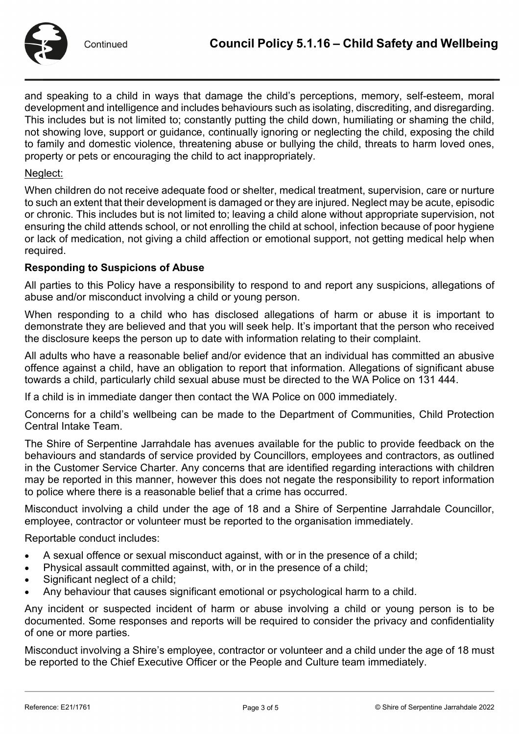

and speaking to a child in ways that damage the child's perceptions, memory, self-esteem, moral development and intelligence and includes behaviours such as isolating, discrediting, and disregarding. This includes but is not limited to; constantly putting the child down, humiliating or shaming the child, not showing love, support or guidance, continually ignoring or neglecting the child, exposing the child to family and domestic violence, threatening abuse or bullying the child, threats to harm loved ones, property or pets or encouraging the child to act inappropriately.

#### Neglect:

When children do not receive adequate food or shelter, medical treatment, supervision, care or nurture to such an extent that their development is damaged or they are injured. Neglect may be acute, episodic or chronic. This includes but is not limited to; leaving a child alone without appropriate supervision, not ensuring the child attends school, or not enrolling the child at school, infection because of poor hygiene or lack of medication, not giving a child affection or emotional support, not getting medical help when required.

### **Responding to Suspicions of Abuse**

All parties to this Policy have a responsibility to respond to and report any suspicions, allegations of abuse and/or misconduct involving a child or young person.

When responding to a child who has disclosed allegations of harm or abuse it is important to demonstrate they are believed and that you will seek help. It's important that the person who received the disclosure keeps the person up to date with information relating to their complaint.

All adults who have a reasonable belief and/or evidence that an individual has committed an abusive offence against a child, have an obligation to report that information. Allegations of significant abuse towards a child, particularly child sexual abuse must be directed to the WA Police on 131 444.

If a child is in immediate danger then contact the WA Police on 000 immediately.

Concerns for a child's wellbeing can be made to the Department of Communities, Child Protection Central Intake Team.

The Shire of Serpentine Jarrahdale has avenues available for the public to provide feedback on the behaviours and standards of service provided by Councillors, employees and contractors, as outlined in the Customer Service Charter. Any concerns that are identified regarding interactions with children may be reported in this manner, however this does not negate the responsibility to report information to police where there is a reasonable belief that a crime has occurred.

Misconduct involving a child under the age of 18 and a Shire of Serpentine Jarrahdale Councillor, employee, contractor or volunteer must be reported to the organisation immediately.

Reportable conduct includes:

- A sexual offence or sexual misconduct against, with or in the presence of a child;
- Physical assault committed against, with, or in the presence of a child;
- Significant neglect of a child;
- Any behaviour that causes significant emotional or psychological harm to a child.

Any incident or suspected incident of harm or abuse involving a child or young person is to be documented. Some responses and reports will be required to consider the privacy and confidentiality of one or more parties.

Misconduct involving a Shire's employee, contractor or volunteer and a child under the age of 18 must be reported to the Chief Executive Officer or the People and Culture team immediately.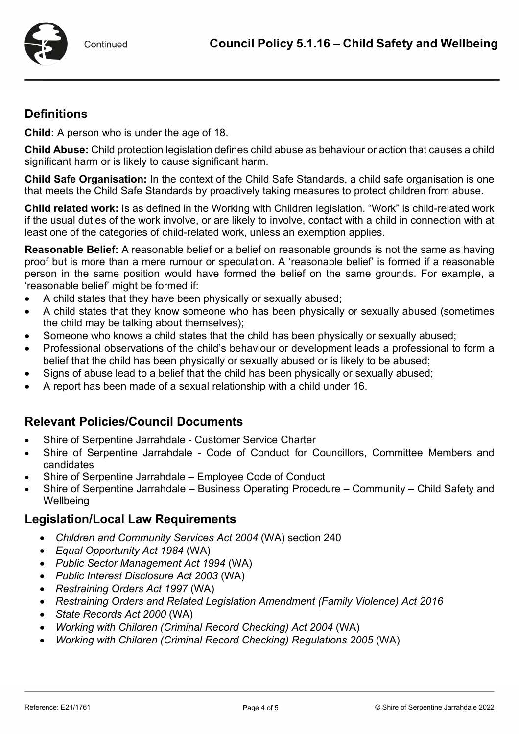

# **Definitions**

**Child:** A person who is under the age of 18.

**Child Abuse:** Child protection legislation defines child abuse as behaviour or action that causes a child significant harm or is likely to cause significant harm.

**Child Safe Organisation:** In the context of the Child Safe Standards, a child safe organisation is one that meets the Child Safe Standards by proactively taking measures to protect children from abuse.

**Child related work:** Is as defined in the Working with Children legislation. "Work" is child-related work if the usual duties of the work involve, or are likely to involve, contact with a child in connection with at least one of the categories of child-related work, unless an exemption applies.

**Reasonable Belief:** A reasonable belief or a belief on reasonable grounds is not the same as having proof but is more than a mere rumour or speculation. A 'reasonable belief' is formed if a reasonable person in the same position would have formed the belief on the same grounds. For example, a 'reasonable belief' might be formed if:

- A child states that they have been physically or sexually abused;
- A child states that they know someone who has been physically or sexually abused (sometimes the child may be talking about themselves);
- Someone who knows a child states that the child has been physically or sexually abused;
- Professional observations of the child's behaviour or development leads a professional to form a belief that the child has been physically or sexually abused or is likely to be abused;
- Signs of abuse lead to a belief that the child has been physically or sexually abused;
- A report has been made of a sexual relationship with a child under 16.

# **Relevant Policies/Council Documents**

- Shire of Serpentine Jarrahdale Customer Service Charter
- Shire of Serpentine Jarrahdale Code of Conduct for Councillors, Committee Members and candidates
- Shire of Serpentine Jarrahdale Employee Code of Conduct
- Shire of Serpentine Jarrahdale Business Operating Procedure Community Child Safety and **Wellbeing**

# **Legislation/Local Law Requirements**

- *[Children and Community Services Act 2004](https://www.legislation.wa.gov.au/legislation/prod/filestore.nsf/FileURL/mrcmp_28384.pdf/$FILE/Children%20and%20Community%20Services%20Act%202004%20Compare%20%5B04-b0-05%5D%20-%20%5B04-c0-01%5D.pdf?OpenElement)* (WA) section 240
- *Equal [Opportunity Act 1984](https://www.legislation.wa.gov.au/legislation/prod/filestore.nsf/FileURL/mrdoc_41630.pdf/$FILE/Equal%20Opportunity%20Act%201984%20-%20%5B07-f0-02%5D.pdf?OpenElement)* (WA)
- *[Public Sector Management Act 1994](https://www.legislation.wa.gov.au/legislation/prod/filestore.nsf/FileURL/mrdoc_42342.pdf/$FILE/Public%20Sector%20Management%20Act%201994%20-%20%5B12-f0-02%5D.pdf?OpenElement)* (WA)
- *[Public Interest Disclosure Act 2003](https://www.legislation.wa.gov.au/legislation/prod/filestore.nsf/FileURL/mrdoc_29657.pdf/$FILE/Public%20Interest%20Disclosure%20Act%202003%20-%20%5B02-e0-01%5D.pdf?OpenElement)* (WA)
- *[Restraining Orders Act 1997](https://www.legislation.wa.gov.au/legislation/prod/filestore.nsf/FileURL/mrdoc_42679.pdf/$FILE/Restraining%20Orders%20Act%201997%20-%20%5B05-d0-00%5D.pdf?OpenElement)* (WA)
- *[Restraining Orders and Related Legislation Amendment \(Family Violence\) Act](https://www.legislation.wa.gov.au/legislation/prod/filestore.nsf/FileURL/mrdoc_29387.pdf/$FILE/Restraining%20Orders%20and%20Related%20Legislation%20Amendment%20(Family%20Violence)%20Act%202016%20-%20%5B00-00-00%5D.pdf?OpenElement) 2016*
- *[State Records Act 2000](https://www.legislation.wa.gov.au/legislation/prod/filestore.nsf/FileURL/mrdoc_29661.pdf/$FILE/State%20Records%20Act%202000%20-%20%5B01-f0-02%5D.pdf?OpenElement)* (WA)
- *[Working with Children \(Criminal Record Checking\) Act 2004](https://www.legislation.wa.gov.au/legislation/prod/filestore.nsf/FileURL/mrdoc_41871.pdf/$FILE/Working%20with%20Children%20(Criminal%20Record%20Checking)%20Act%202004%20-%20%5B03-j0-01%5D.pdf?OpenElement)* (WA)
- *[Working with Children \(Criminal Record Checking\) Regulations 2005](https://www.legislation.wa.gov.au/legislation/prod/filestore.nsf/FileURL/mrdoc_42126.pdf/$FILE/Working%20with%20Children%20(Criminal%20Record%20Checking)%20Regulations%202005%20-%20%5B04-c0-00%5D.pdf?OpenElement)* (WA)